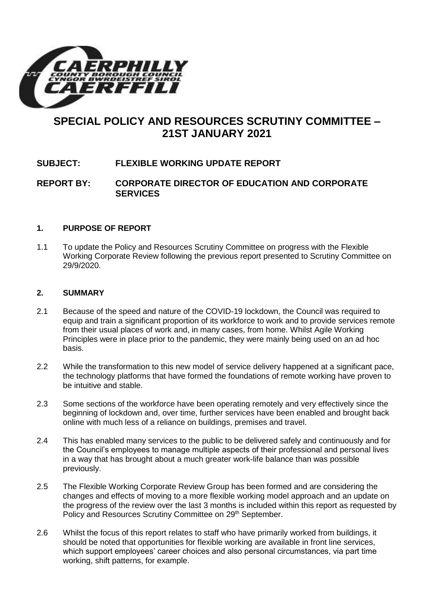

# **SPECIAL POLICY AND RESOURCES SCRUTINY COMMITTEE – 21ST JANUARY 2021**

# **SUBJECT: FLEXIBLE WORKING UPDATE REPORT**

# **REPORT BY: CORPORATE DIRECTOR OF EDUCATION AND CORPORATE SERVICES**

#### **1. PURPOSE OF REPORT**

1.1 To update the Policy and Resources Scrutiny Committee on progress with the Flexible Working Corporate Review following the previous report presented to Scrutiny Committee on 29/9/2020.

#### **2. SUMMARY**

- 2.1 Because of the speed and nature of the COVID-19 lockdown, the Council was required to equip and train a significant proportion of its workforce to work and to provide services remote from their usual places of work and, in many cases, from home. Whilst Agile Working Principles were in place prior to the pandemic, they were mainly being used on an ad hoc basis.
- 2.2 While the transformation to this new model of service delivery happened at a significant pace, the technology platforms that have formed the foundations of remote working have proven to be intuitive and stable.
- 2.3 Some sections of the workforce have been operating remotely and very effectively since the beginning of lockdown and, over time, further services have been enabled and brought back online with much less of a reliance on buildings, premises and travel.
- 2.4 This has enabled many services to the public to be delivered safely and continuously and for the Council's employees to manage multiple aspects of their professional and personal lives in a way that has brought about a much greater work-life balance than was possible previously.
- 2.5 The Flexible Working Corporate Review Group has been formed and are considering the changes and effects of moving to a more flexible working model approach and an update on the progress of the review over the last 3 months is included within this report as requested by Policy and Resources Scrutiny Committee on 29<sup>th</sup> September.
- 2.6 Whilst the focus of this report relates to staff who have primarily worked from buildings, it should be noted that opportunities for flexible working are available in front line services, which support employees' career choices and also personal circumstances, via part time working, shift patterns, for example.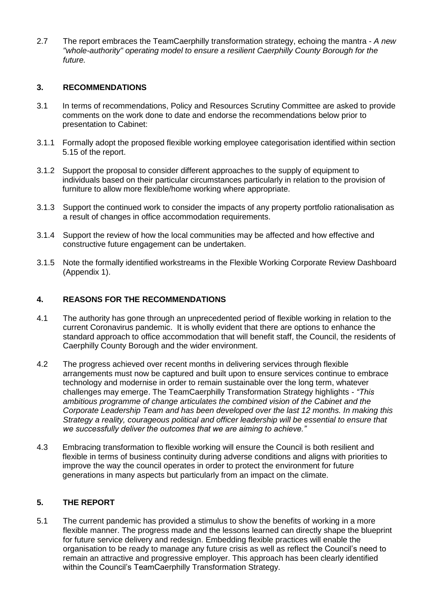2.7 The report embraces the TeamCaerphilly transformation strategy, echoing the mantra - *A new "whole-authority" operating model to ensure a resilient Caerphilly County Borough for the future.*

## **3. RECOMMENDATIONS**

- 3.1 In terms of recommendations, Policy and Resources Scrutiny Committee are asked to provide comments on the work done to date and endorse the recommendations below prior to presentation to Cabinet:
- 3.1.1 Formally adopt the proposed flexible working employee categorisation identified within section 5.15 of the report.
- 3.1.2 Support the proposal to consider different approaches to the supply of equipment to individuals based on their particular circumstances particularly in relation to the provision of furniture to allow more flexible/home working where appropriate.
- 3.1.3 Support the continued work to consider the impacts of any property portfolio rationalisation as a result of changes in office accommodation requirements.
- 3.1.4 Support the review of how the local communities may be affected and how effective and constructive future engagement can be undertaken.
- 3.1.5 Note the formally identified workstreams in the Flexible Working Corporate Review Dashboard (Appendix 1).

#### **4. REASONS FOR THE RECOMMENDATIONS**

- 4.1 The authority has gone through an unprecedented period of flexible working in relation to the current Coronavirus pandemic. It is wholly evident that there are options to enhance the standard approach to office accommodation that will benefit staff, the Council, the residents of Caerphilly County Borough and the wider environment.
- 4.2 The progress achieved over recent months in delivering services through flexible arrangements must now be captured and built upon to ensure services continue to embrace technology and modernise in order to remain sustainable over the long term, whatever challenges may emerge. The TeamCaerphilly Transformation Strategy highlights - *"This ambitious programme of change articulates the combined vision of the Cabinet and the Corporate Leadership Team and has been developed over the last 12 months. In making this Strategy a reality, courageous political and officer leadership will be essential to ensure that we successfully deliver the outcomes that we are aiming to achieve."*
- 4.3 Embracing transformation to flexible working will ensure the Council is both resilient and flexible in terms of business continuity during adverse conditions and aligns with priorities to improve the way the council operates in order to protect the environment for future generations in many aspects but particularly from an impact on the climate.

# **5. THE REPORT**

5.1 The current pandemic has provided a stimulus to show the benefits of working in a more flexible manner. The progress made and the lessons learned can directly shape the blueprint for future service delivery and redesign. Embedding flexible practices will enable the organisation to be ready to manage any future crisis as well as reflect the Council's need to remain an attractive and progressive employer. This approach has been clearly identified within the Council's TeamCaerphilly Transformation Strategy.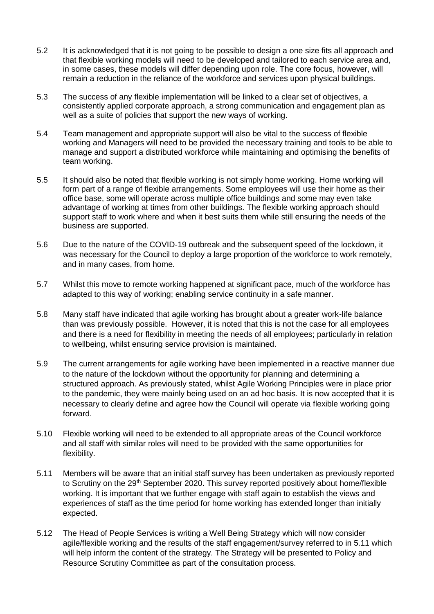- 5.2 It is acknowledged that it is not going to be possible to design a one size fits all approach and that flexible working models will need to be developed and tailored to each service area and, in some cases, these models will differ depending upon role. The core focus, however, will remain a reduction in the reliance of the workforce and services upon physical buildings.
- 5.3 The success of any flexible implementation will be linked to a clear set of objectives, a consistently applied corporate approach, a strong communication and engagement plan as well as a suite of policies that support the new ways of working.
- 5.4 Team management and appropriate support will also be vital to the success of flexible working and Managers will need to be provided the necessary training and tools to be able to manage and support a distributed workforce while maintaining and optimising the benefits of team working.
- 5.5 It should also be noted that flexible working is not simply home working. Home working will form part of a range of flexible arrangements. Some employees will use their home as their office base, some will operate across multiple office buildings and some may even take advantage of working at times from other buildings. The flexible working approach should support staff to work where and when it best suits them while still ensuring the needs of the business are supported.
- 5.6 Due to the nature of the COVID-19 outbreak and the subsequent speed of the lockdown, it was necessary for the Council to deploy a large proportion of the workforce to work remotely, and in many cases, from home.
- 5.7 Whilst this move to remote working happened at significant pace, much of the workforce has adapted to this way of working; enabling service continuity in a safe manner.
- 5.8 Many staff have indicated that agile working has brought about a greater work-life balance than was previously possible. However, it is noted that this is not the case for all employees and there is a need for flexibility in meeting the needs of all employees; particularly in relation to wellbeing, whilst ensuring service provision is maintained.
- 5.9 The current arrangements for agile working have been implemented in a reactive manner due to the nature of the lockdown without the opportunity for planning and determining a structured approach. As previously stated, whilst Agile Working Principles were in place prior to the pandemic, they were mainly being used on an ad hoc basis. It is now accepted that it is necessary to clearly define and agree how the Council will operate via flexible working going forward.
- 5.10 Flexible working will need to be extended to all appropriate areas of the Council workforce and all staff with similar roles will need to be provided with the same opportunities for flexibility.
- 5.11 Members will be aware that an initial staff survey has been undertaken as previously reported to Scrutiny on the 29<sup>th</sup> September 2020. This survey reported positively about home/flexible working. It is important that we further engage with staff again to establish the views and experiences of staff as the time period for home working has extended longer than initially expected.
- 5.12 The Head of People Services is writing a Well Being Strategy which will now consider agile/flexible working and the results of the staff engagement/survey referred to in 5.11 which will help inform the content of the strategy. The Strategy will be presented to Policy and Resource Scrutiny Committee as part of the consultation process.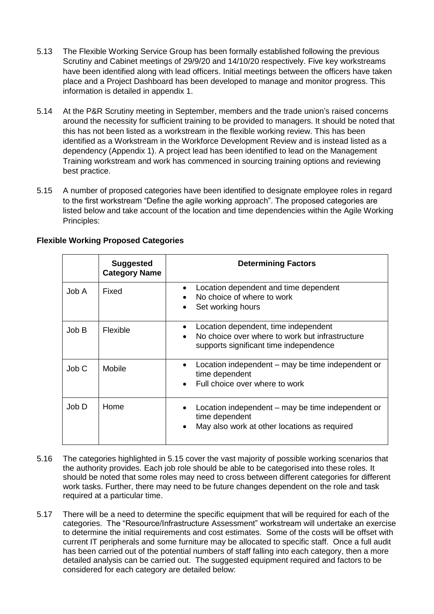- 5.13 The Flexible Working Service Group has been formally established following the previous Scrutiny and Cabinet meetings of 29/9/20 and 14/10/20 respectively. Five key workstreams have been identified along with lead officers. Initial meetings between the officers have taken place and a Project Dashboard has been developed to manage and monitor progress. This information is detailed in appendix 1.
- 5.14 At the P&R Scrutiny meeting in September, members and the trade union's raised concerns around the necessity for sufficient training to be provided to managers. It should be noted that this has not been listed as a workstream in the flexible working review. This has been identified as a Workstream in the Workforce Development Review and is instead listed as a dependency (Appendix 1). A project lead has been identified to lead on the Management Training workstream and work has commenced in sourcing training options and reviewing best practice.
- 5.15 A number of proposed categories have been identified to designate employee roles in regard to the first workstream "Define the agile working approach". The proposed categories are listed below and take account of the location and time dependencies within the Agile Working Principles:

|       | <b>Suggested</b><br><b>Category Name</b> | <b>Determining Factors</b>                                                                                                        |
|-------|------------------------------------------|-----------------------------------------------------------------------------------------------------------------------------------|
| Job A | Fixed                                    | Location dependent and time dependent<br>No choice of where to work<br>Set working hours                                          |
| Job B | <b>Flexible</b>                          | Location dependent, time independent<br>No choice over where to work but infrastructure<br>supports significant time independence |
| Job C | Mobile                                   | Location independent – may be time independent or<br>$\bullet$<br>time dependent<br>Full choice over where to work                |
| Job D | Home                                     | Location independent – may be time independent or<br>time dependent<br>May also work at other locations as required               |

# **Flexible Working Proposed Categories**

- 5.16 The categories highlighted in 5.15 cover the vast majority of possible working scenarios that the authority provides. Each job role should be able to be categorised into these roles. It should be noted that some roles may need to cross between different categories for different work tasks. Further, there may need to be future changes dependent on the role and task required at a particular time.
- 5.17 There will be a need to determine the specific equipment that will be required for each of the categories. The "Resource/Infrastructure Assessment" workstream will undertake an exercise to determine the initial requirements and cost estimates. Some of the costs will be offset with current IT peripherals and some furniture may be allocated to specific staff. Once a full audit has been carried out of the potential numbers of staff falling into each category, then a more detailed analysis can be carried out. The suggested equipment required and factors to be considered for each category are detailed below: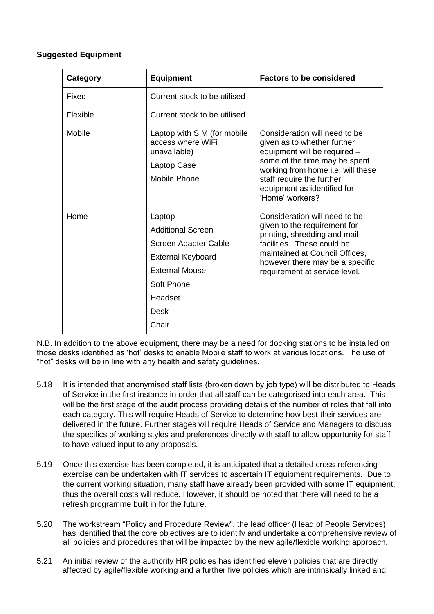## **Suggested Equipment**

| Category | <b>Equipment</b>                                                                                                                                          | <b>Factors to be considered</b>                                                                                                                                                                                                                   |
|----------|-----------------------------------------------------------------------------------------------------------------------------------------------------------|---------------------------------------------------------------------------------------------------------------------------------------------------------------------------------------------------------------------------------------------------|
| Fixed    | Current stock to be utilised                                                                                                                              |                                                                                                                                                                                                                                                   |
| Flexible | Current stock to be utilised                                                                                                                              |                                                                                                                                                                                                                                                   |
| Mobile   | Laptop with SIM (for mobile<br>access where WiFi<br>unavailable)<br>Laptop Case<br>Mobile Phone                                                           | Consideration will need to be<br>given as to whether further<br>equipment will be required -<br>some of the time may be spent<br>working from home i.e. will these<br>staff require the further<br>equipment as identified for<br>'Home' workers? |
| Home     | Laptop<br><b>Additional Screen</b><br>Screen Adapter Cable<br><b>External Keyboard</b><br><b>External Mouse</b><br>Soft Phone<br>Headset<br>Desk<br>Chair | Consideration will need to be<br>given to the requirement for<br>printing, shredding and mail<br>facilities. These could be<br>maintained at Council Offices,<br>however there may be a specific<br>requirement at service level.                 |

N.B. In addition to the above equipment, there may be a need for docking stations to be installed on those desks identified as 'hot' desks to enable Mobile staff to work at various locations. The use of "hot" desks will be in line with any health and safety guidelines.

- 5.18 It is intended that anonymised staff lists (broken down by job type) will be distributed to Heads of Service in the first instance in order that all staff can be categorised into each area. This will be the first stage of the audit process providing details of the number of roles that fall into each category. This will require Heads of Service to determine how best their services are delivered in the future. Further stages will require Heads of Service and Managers to discuss the specifics of working styles and preferences directly with staff to allow opportunity for staff to have valued input to any proposals.
- 5.19 Once this exercise has been completed, it is anticipated that a detailed cross-referencing exercise can be undertaken with IT services to ascertain IT equipment requirements. Due to the current working situation, many staff have already been provided with some IT equipment; thus the overall costs will reduce. However, it should be noted that there will need to be a refresh programme built in for the future.
- 5.20 The workstream "Policy and Procedure Review", the lead officer (Head of People Services) has identified that the core objectives are to identify and undertake a comprehensive review of all policies and procedures that will be impacted by the new agile/flexible working approach.
- 5.21 An initial review of the authority HR policies has identified eleven policies that are directly affected by agile/flexible working and a further five policies which are intrinsically linked and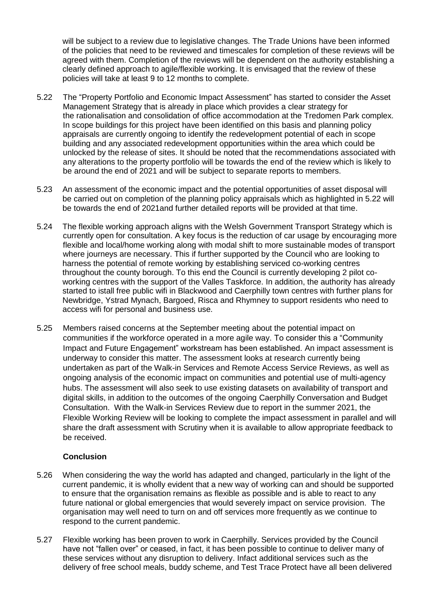will be subject to a review due to legislative changes. The Trade Unions have been informed of the policies that need to be reviewed and timescales for completion of these reviews will be agreed with them. Completion of the reviews will be dependent on the authority establishing a clearly defined approach to agile/flexible working. It is envisaged that the review of these policies will take at least 9 to 12 months to complete.

- 5.22 The "Property Portfolio and Economic Impact Assessment" has started to consider the Asset Management Strategy that is already in place which provides a clear strategy for the rationalisation and consolidation of office accommodation at the Tredomen Park complex. In scope buildings for this project have been identified on this basis and planning policy appraisals are currently ongoing to identify the redevelopment potential of each in scope building and any associated redevelopment opportunities within the area which could be unlocked by the release of sites. It should be noted that the recommendations associated with any alterations to the property portfolio will be towards the end of the review which is likely to be around the end of 2021 and will be subject to separate reports to members.
- 5.23 An assessment of the economic impact and the potential opportunities of asset disposal will be carried out on completion of the planning policy appraisals which as highlighted in 5.22 will be towards the end of 2021and further detailed reports will be provided at that time.
- 5.24 The flexible working approach aligns with the Welsh Government Transport Strategy which is currently open for consultation. A key focus is the reduction of car usage by encouraging more flexible and local/home working along with modal shift to more sustainable modes of transport where journeys are necessary. This if further supported by the Council who are looking to harness the potential of remote working by establishing serviced co-working centres throughout the county borough. To this end the Council is currently developing 2 pilot coworking centres with the support of the Valles Taskforce. In addition, the authority has already started to istall free public wifi in Blackwood and Caerphilly town centres with further plans for Newbridge, Ystrad Mynach, Bargoed, Risca and Rhymney to support residents who need to access wifi for personal and business use.
- 5.25 Members raised concerns at the September meeting about the potential impact on communities if the workforce operated in a more agile way. To consider this a "Community Impact and Future Engagement" workstream has been established. An impact assessment is underway to consider this matter. The assessment looks at research currently being undertaken as part of the Walk-in Services and Remote Access Service Reviews, as well as ongoing analysis of the economic impact on communities and potential use of multi-agency hubs. The assessment will also seek to use existing datasets on availability of transport and digital skills, in addition to the outcomes of the ongoing Caerphilly Conversation and Budget Consultation. With the Walk-in Services Review due to report in the summer 2021, the Flexible Working Review will be looking to complete the impact assessment in parallel and will share the draft assessment with Scrutiny when it is available to allow appropriate feedback to be received.

# **Conclusion**

- 5.26 When considering the way the world has adapted and changed, particularly in the light of the current pandemic, it is wholly evident that a new way of working can and should be supported to ensure that the organisation remains as flexible as possible and is able to react to any future national or global emergencies that would severely impact on service provision. The organisation may well need to turn on and off services more frequently as we continue to respond to the current pandemic.
- 5.27 Flexible working has been proven to work in Caerphilly. Services provided by the Council have not "fallen over" or ceased, in fact, it has been possible to continue to deliver many of these services without any disruption to delivery. Infact additional services such as the delivery of free school meals, buddy scheme, and Test Trace Protect have all been delivered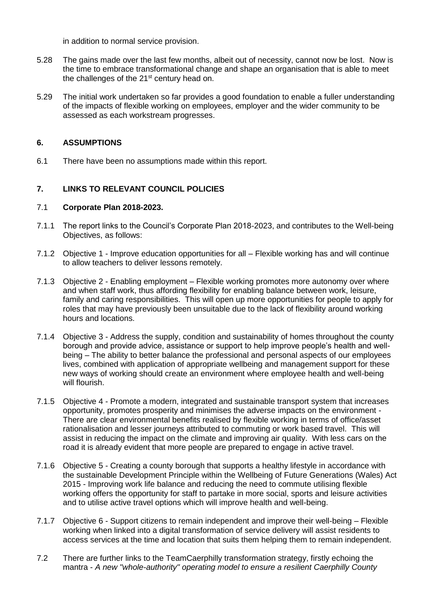in addition to normal service provision.

- 5.28 The gains made over the last few months, albeit out of necessity, cannot now be lost. Now is the time to embrace transformational change and shape an organisation that is able to meet the challenges of the  $21<sup>st</sup>$  century head on.
- 5.29 The initial work undertaken so far provides a good foundation to enable a fuller understanding of the impacts of flexible working on employees, employer and the wider community to be assessed as each workstream progresses.

## **6. ASSUMPTIONS**

6.1 There have been no assumptions made within this report.

# **7. LINKS TO RELEVANT COUNCIL POLICIES**

## 7.1 **Corporate Plan 2018-2023.**

- 7.1.1 The report links to the Council's Corporate Plan 2018-2023, and contributes to the Well-being Objectives, as follows:
- 7.1.2 Objective 1 Improve education opportunities for all Flexible working has and will continue to allow teachers to deliver lessons remotely.
- 7.1.3 Objective 2 Enabling employment Flexible working promotes more autonomy over where and when staff work, thus affording flexibility for enabling balance between work, leisure, family and caring responsibilities. This will open up more opportunities for people to apply for roles that may have previously been unsuitable due to the lack of flexibility around working hours and locations.
- 7.1.4 Objective 3 Address the supply, condition and sustainability of homes throughout the county borough and provide advice, assistance or support to help improve people's health and wellbeing – The ability to better balance the professional and personal aspects of our employees lives, combined with application of appropriate wellbeing and management support for these new ways of working should create an environment where employee health and well-being will flourish.
- 7.1.5 Objective 4 Promote a modern, integrated and sustainable transport system that increases opportunity, promotes prosperity and minimises the adverse impacts on the environment - There are clear environmental benefits realised by flexible working in terms of office/asset rationalisation and lesser journeys attributed to commuting or work based travel. This will assist in reducing the impact on the climate and improving air quality. With less cars on the road it is already evident that more people are prepared to engage in active travel.
- 7.1.6 Objective 5 Creating a county borough that supports a healthy lifestyle in accordance with the sustainable Development Principle within the Wellbeing of Future Generations (Wales) Act 2015 - Improving work life balance and reducing the need to commute utilising flexible working offers the opportunity for staff to partake in more social, sports and leisure activities and to utilise active travel options which will improve health and well-being.
- 7.1.7 Objective 6 Support citizens to remain independent and improve their well-being Flexible working when linked into a digital transformation of service delivery will assist residents to access services at the time and location that suits them helping them to remain independent.
- 7.2 There are further links to the TeamCaerphilly transformation strategy, firstly echoing the mantra - *A new "whole-authority" operating model to ensure a resilient Caerphilly County*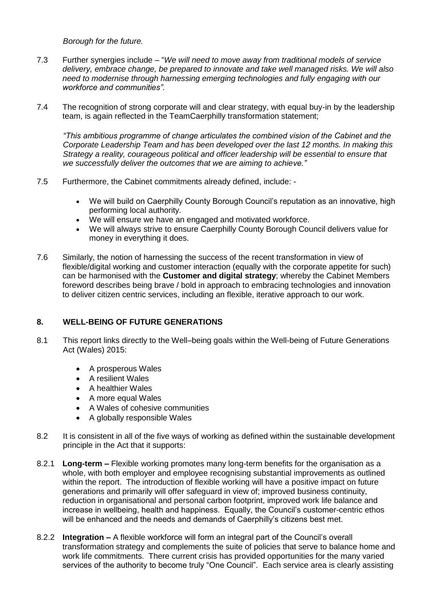*Borough for the future.*

- 7.3 Further synergies include "*We will need to move away from traditional models of service delivery, embrace change, be prepared to innovate and take well managed risks. We will also need to modernise through harnessing emerging technologies and fully engaging with our workforce and communities".*
- 7.4 The recognition of strong corporate will and clear strategy, with equal buy-in by the leadership team, is again reflected in the TeamCaerphilly transformation statement;

*"This ambitious programme of change articulates the combined vision of the Cabinet and the Corporate Leadership Team and has been developed over the last 12 months. In making this Strategy a reality, courageous political and officer leadership will be essential to ensure that we successfully deliver the outcomes that we are aiming to achieve."*

- 7.5 Furthermore, the Cabinet commitments already defined, include:
	- We will build on Caerphilly County Borough Council's reputation as an innovative, high performing local authority.
	- We will ensure we have an engaged and motivated workforce.
	- We will always strive to ensure Caerphilly County Borough Council delivers value for money in everything it does.
- 7.6 Similarly, the notion of harnessing the success of the recent transformation in view of flexible/digital working and customer interaction (equally with the corporate appetite for such) can be harmonised with the **Customer and digital strategy**; whereby the Cabinet Members foreword describes being brave / bold in approach to embracing technologies and innovation to deliver citizen centric services, including an flexible, iterative approach to our work.

# **8. WELL-BEING OF FUTURE GENERATIONS**

- 8.1 This report links directly to the Well–being goals within the Well-being of Future Generations Act (Wales) 2015:
	- A prosperous Wales
	- A resilient Wales
	- A healthier Wales
	- A more equal Wales
	- A Wales of cohesive communities
	- A globally responsible Wales
- 8.2 It is consistent in all of the five ways of working as defined within the sustainable development principle in the Act that it supports:
- 8.2.1 **Long-term –** Flexible working promotes many long-term benefits for the organisation as a whole, with both employer and employee recognising substantial improvements as outlined within the report. The introduction of flexible working will have a positive impact on future generations and primarily will offer safeguard in view of; improved business continuity, reduction in organisational and personal carbon footprint, improved work life balance and increase in wellbeing, health and happiness. Equally, the Council's customer-centric ethos will be enhanced and the needs and demands of Caerphilly's citizens best met.
- 8.2.2 **Integration –** A flexible workforce will form an integral part of the Council's overall transformation strategy and complements the suite of policies that serve to balance home and work life commitments. There current crisis has provided opportunities for the many varied services of the authority to become truly "One Council". Each service area is clearly assisting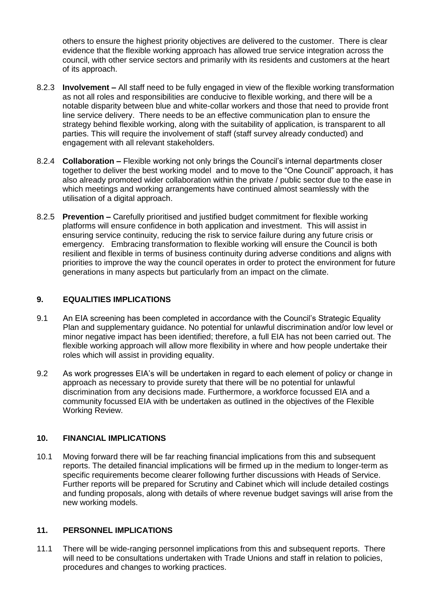others to ensure the highest priority objectives are delivered to the customer. There is clear evidence that the flexible working approach has allowed true service integration across the council, with other service sectors and primarily with its residents and customers at the heart of its approach.

- 8.2.3 **Involvement –** All staff need to be fully engaged in view of the flexible working transformation as not all roles and responsibilities are conducive to flexible working, and there will be a notable disparity between blue and white-collar workers and those that need to provide front line service delivery. There needs to be an effective communication plan to ensure the strategy behind flexible working, along with the suitability of application, is transparent to all parties. This will require the involvement of staff (staff survey already conducted) and engagement with all relevant stakeholders.
- 8.2.4 **Collaboration –** Flexible working not only brings the Council's internal departments closer together to deliver the best working model and to move to the "One Council" approach, it has also already promoted wider collaboration within the private / public sector due to the ease in which meetings and working arrangements have continued almost seamlessly with the utilisation of a digital approach.
- 8.2.5 **Prevention –** Carefully prioritised and justified budget commitment for flexible working platforms will ensure confidence in both application and investment. This will assist in ensuring service continuity, reducing the risk to service failure during any future crisis or emergency. Embracing transformation to flexible working will ensure the Council is both resilient and flexible in terms of business continuity during adverse conditions and aligns with priorities to improve the way the council operates in order to protect the environment for future generations in many aspects but particularly from an impact on the climate.

## **9. EQUALITIES IMPLICATIONS**

- 9.1 An EIA screening has been completed in accordance with the Council's Strategic Equality Plan and supplementary guidance. No potential for unlawful discrimination and/or low level or minor negative impact has been identified; therefore, a full EIA has not been carried out. The flexible working approach will allow more flexibility in where and how people undertake their roles which will assist in providing equality.
- 9.2 As work progresses EIA's will be undertaken in regard to each element of policy or change in approach as necessary to provide surety that there will be no potential for unlawful discrimination from any decisions made. Furthermore, a workforce focussed EIA and a community focussed EIA with be undertaken as outlined in the objectives of the Flexible Working Review.

#### **10. FINANCIAL IMPLICATIONS**

10.1 Moving forward there will be far reaching financial implications from this and subsequent reports. The detailed financial implications will be firmed up in the medium to longer-term as specific requirements become clearer following further discussions with Heads of Service. Further reports will be prepared for Scrutiny and Cabinet which will include detailed costings and funding proposals, along with details of where revenue budget savings will arise from the new working models.

# **11. PERSONNEL IMPLICATIONS**

11.1 There will be wide-ranging personnel implications from this and subsequent reports. There will need to be consultations undertaken with Trade Unions and staff in relation to policies, procedures and changes to working practices.